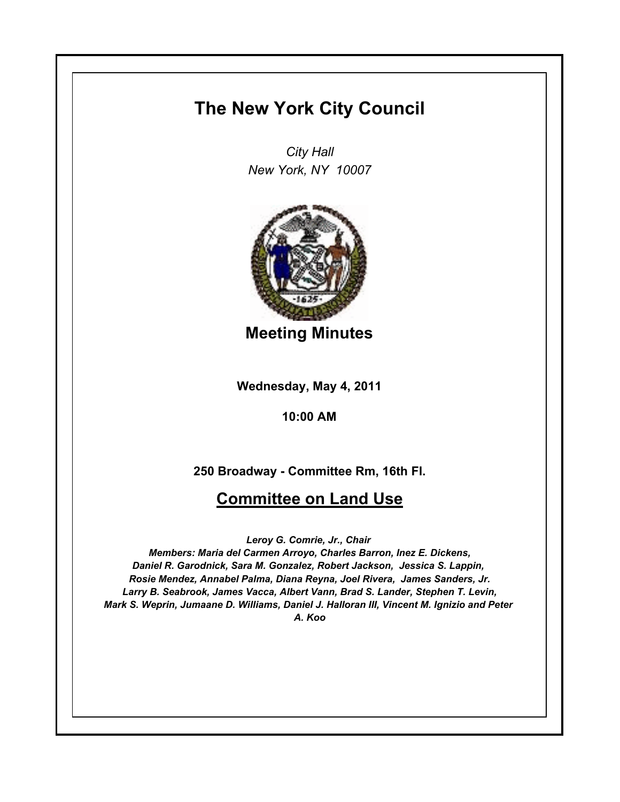# **The New York City Council**

*City Hall New York, NY 10007*



**Meeting Minutes**

**Wednesday, May 4, 2011**

**10:00 AM**

**250 Broadway - Committee Rm, 16th Fl.**

# **Committee on Land Use**

*Leroy G. Comrie, Jr., Chair* 

*Members: Maria del Carmen Arroyo, Charles Barron, Inez E. Dickens, Daniel R. Garodnick, Sara M. Gonzalez, Robert Jackson, Jessica S. Lappin, Rosie Mendez, Annabel Palma, Diana Reyna, Joel Rivera, James Sanders, Jr. Larry B. Seabrook, James Vacca, Albert Vann, Brad S. Lander, Stephen T. Levin, Mark S. Weprin, Jumaane D. Williams, Daniel J. Halloran III, Vincent M. Ignizio and Peter A. Koo*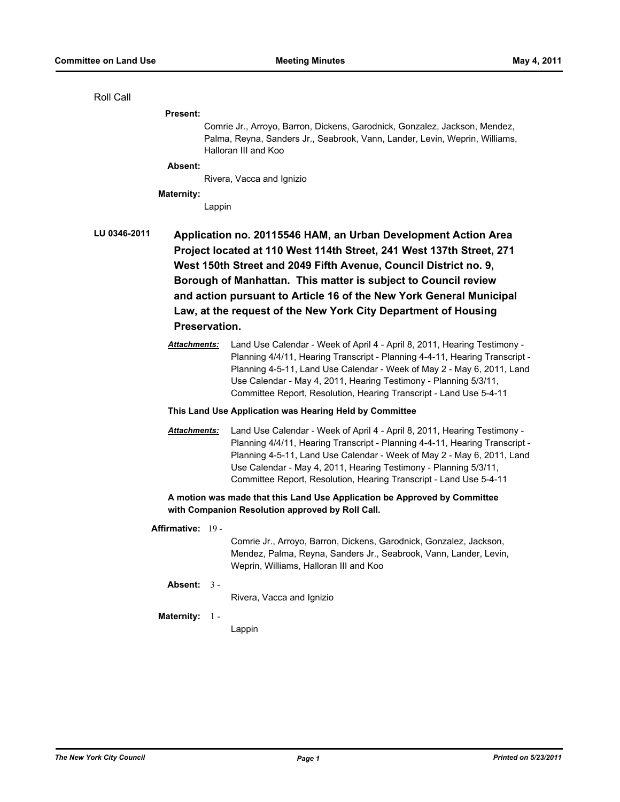# Roll Call

#### **Present:**

Comrie Jr., Arroyo, Barron, Dickens, Garodnick, Gonzalez, Jackson, Mendez, Palma, Reyna, Sanders Jr., Seabrook, Vann, Lander, Levin, Weprin, Williams, Halloran III and Koo

# **Absent:**

Rivera, Vacca and Ignizio

#### **Maternity:**

Lappin

# **LU 0346-2011 Application no. 20115546 HAM, an Urban Development Action Area Project located at 110 West 114th Street, 241 West 137th Street, 271 West 150th Street and 2049 Fifth Avenue, Council District no. 9, Borough of Manhattan. This matter is subject to Council review and action pursuant to Article 16 of the New York General Municipal Law, at the request of the New York City Department of Housing Preservation.**

*Attachments:* Land Use Calendar - Week of April 4 - April 8, 2011, Hearing Testimony - Planning 4/4/11, Hearing Transcript - Planning 4-4-11, Hearing Transcript - Planning 4-5-11, Land Use Calendar - Week of May 2 - May 6, 2011, Land Use Calendar - May 4, 2011, Hearing Testimony - Planning 5/3/11, Committee Report, Resolution, Hearing Transcript - Land Use 5-4-11

#### **This Land Use Application was Hearing Held by Committee**

*Attachments:* Land Use Calendar - Week of April 4 - April 8, 2011, Hearing Testimony - Planning 4/4/11, Hearing Transcript - Planning 4-4-11, Hearing Transcript - Planning 4-5-11, Land Use Calendar - Week of May 2 - May 6, 2011, Land Use Calendar - May 4, 2011, Hearing Testimony - Planning 5/3/11, Committee Report, Resolution, Hearing Transcript - Land Use 5-4-11

# **A motion was made that this Land Use Application be Approved by Committee with Companion Resolution approved by Roll Call.**

# **Affirmative:** 19 -

Comrie Jr., Arroyo, Barron, Dickens, Garodnick, Gonzalez, Jackson, Mendez, Palma, Reyna, Sanders Jr., Seabrook, Vann, Lander, Levin, Weprin, Williams, Halloran III and Koo

#### **Absent:** 3 -

Rivera, Vacca and Ignizio

#### **Maternity:** 1 -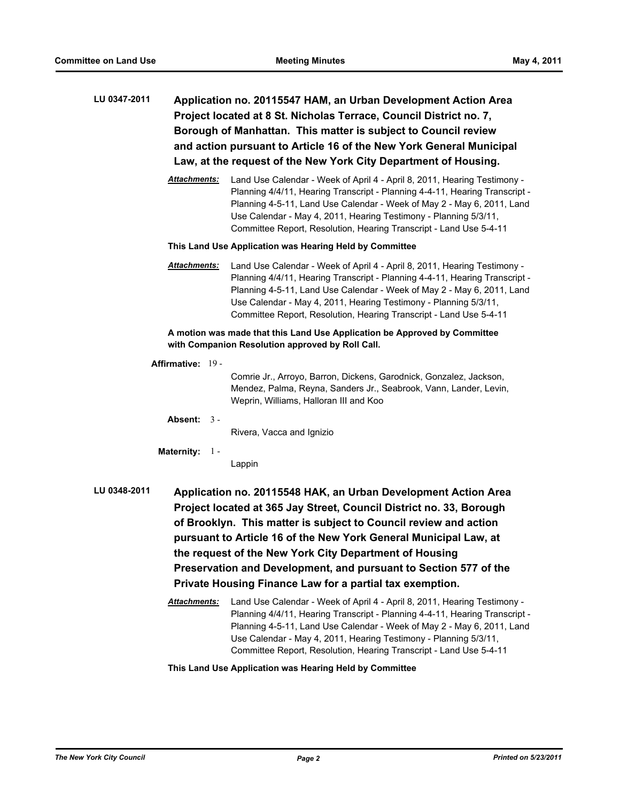- **LU 0347-2011 Application no. 20115547 HAM, an Urban Development Action Area Project located at 8 St. Nicholas Terrace, Council District no. 7, Borough of Manhattan. This matter is subject to Council review and action pursuant to Article 16 of the New York General Municipal Law, at the request of the New York City Department of Housing.**
	- *Attachments:* Land Use Calendar Week of April 4 April 8, 2011, Hearing Testimony Planning 4/4/11, Hearing Transcript - Planning 4-4-11, Hearing Transcript - Planning 4-5-11, Land Use Calendar - Week of May 2 - May 6, 2011, Land Use Calendar - May 4, 2011, Hearing Testimony - Planning 5/3/11, Committee Report, Resolution, Hearing Transcript - Land Use 5-4-11

#### **This Land Use Application was Hearing Held by Committee**

*Attachments:* Land Use Calendar - Week of April 4 - April 8, 2011, Hearing Testimony - Planning 4/4/11, Hearing Transcript - Planning 4-4-11, Hearing Transcript - Planning 4-5-11, Land Use Calendar - Week of May 2 - May 6, 2011, Land Use Calendar - May 4, 2011, Hearing Testimony - Planning 5/3/11, Committee Report, Resolution, Hearing Transcript - Land Use 5-4-11

**A motion was made that this Land Use Application be Approved by Committee with Companion Resolution approved by Roll Call.**

#### **Affirmative:** 19 -

Comrie Jr., Arroyo, Barron, Dickens, Garodnick, Gonzalez, Jackson, Mendez, Palma, Reyna, Sanders Jr., Seabrook, Vann, Lander, Levin, Weprin, Williams, Halloran III and Koo

**Absent:** 3 -

Rivera, Vacca and Ignizio

**Maternity:** 1 -

Lappin

- **LU 0348-2011 Application no. 20115548 HAK, an Urban Development Action Area Project located at 365 Jay Street, Council District no. 33, Borough of Brooklyn. This matter is subject to Council review and action pursuant to Article 16 of the New York General Municipal Law, at the request of the New York City Department of Housing Preservation and Development, and pursuant to Section 577 of the Private Housing Finance Law for a partial tax exemption.**
	- *Attachments:* Land Use Calendar Week of April 4 April 8, 2011, Hearing Testimony Planning 4/4/11, Hearing Transcript - Planning 4-4-11, Hearing Transcript - Planning 4-5-11, Land Use Calendar - Week of May 2 - May 6, 2011, Land Use Calendar - May 4, 2011, Hearing Testimony - Planning 5/3/11, Committee Report, Resolution, Hearing Transcript - Land Use 5-4-11

# **This Land Use Application was Hearing Held by Committee**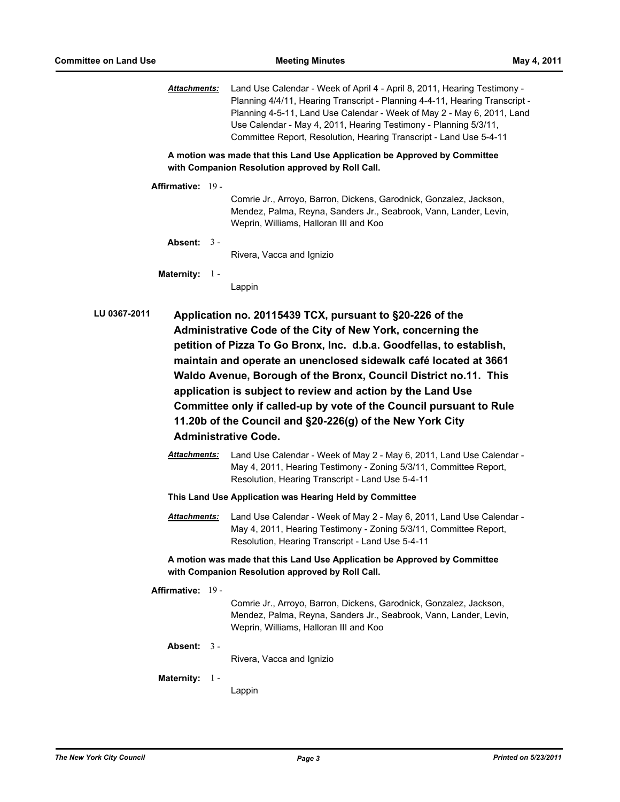*Attachments:* Land Use Calendar - Week of April 4 - April 8, 2011, Hearing Testimony - Planning 4/4/11, Hearing Transcript - Planning 4-4-11, Hearing Transcript - Planning 4-5-11, Land Use Calendar - Week of May 2 - May 6, 2011, Land Use Calendar - May 4, 2011, Hearing Testimony - Planning 5/3/11, Committee Report, Resolution, Hearing Transcript - Land Use 5-4-11

**A motion was made that this Land Use Application be Approved by Committee with Companion Resolution approved by Roll Call.**

**Affirmative:** 19 -

Comrie Jr., Arroyo, Barron, Dickens, Garodnick, Gonzalez, Jackson, Mendez, Palma, Reyna, Sanders Jr., Seabrook, Vann, Lander, Levin, Weprin, Williams, Halloran III and Koo

**Absent:** 3 -

Rivera, Vacca and Ignizio

**Maternity:** 1 -

Lappin

- **LU 0367-2011 Application no. 20115439 TCX, pursuant to §20-226 of the Administrative Code of the City of New York, concerning the petition of Pizza To Go Bronx, Inc. d.b.a. Goodfellas, to establish, maintain and operate an unenclosed sidewalk café located at 3661 Waldo Avenue, Borough of the Bronx, Council District no.11. This application is subject to review and action by the Land Use Committee only if called-up by vote of the Council pursuant to Rule 11.20b of the Council and §20-226(g) of the New York City Administrative Code.**
	- *Attachments:* Land Use Calendar Week of May 2 May 6, 2011, Land Use Calendar May 4, 2011, Hearing Testimony - Zoning 5/3/11, Committee Report, Resolution, Hearing Transcript - Land Use 5-4-11

**This Land Use Application was Hearing Held by Committee**

*Attachments:* Land Use Calendar - Week of May 2 - May 6, 2011, Land Use Calendar - May 4, 2011, Hearing Testimony - Zoning 5/3/11, Committee Report, Resolution, Hearing Transcript - Land Use 5-4-11

**A motion was made that this Land Use Application be Approved by Committee with Companion Resolution approved by Roll Call.**

**Affirmative:** 19 -

Comrie Jr., Arroyo, Barron, Dickens, Garodnick, Gonzalez, Jackson, Mendez, Palma, Reyna, Sanders Jr., Seabrook, Vann, Lander, Levin, Weprin, Williams, Halloran III and Koo

**Absent:** 3 -

Rivera, Vacca and Ignizio

#### **Maternity:** 1 -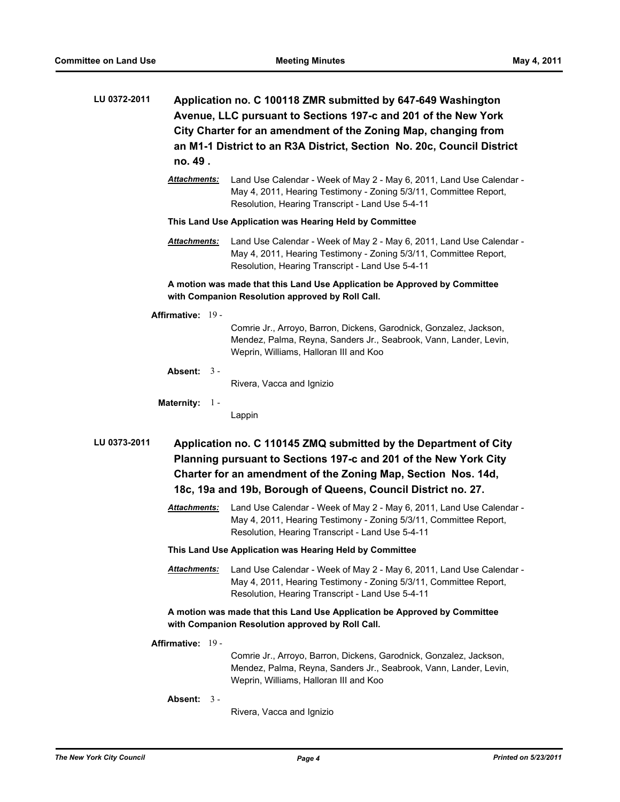| LU 0372-2011 | Application no. C 100118 ZMR submitted by 647-649 Washington<br>Avenue, LLC pursuant to Sections 197-c and 201 of the New York<br>City Charter for an amendment of the Zoning Map, changing from<br>an M1-1 District to an R3A District, Section No. 20c, Council District<br>no. 49. |                                                                                                                                                                                               |  |  |
|--------------|---------------------------------------------------------------------------------------------------------------------------------------------------------------------------------------------------------------------------------------------------------------------------------------|-----------------------------------------------------------------------------------------------------------------------------------------------------------------------------------------------|--|--|
|              | <b>Attachments:</b>                                                                                                                                                                                                                                                                   | Land Use Calendar - Week of May 2 - May 6, 2011, Land Use Calendar -<br>May 4, 2011, Hearing Testimony - Zoning 5/3/11, Committee Report,<br>Resolution, Hearing Transcript - Land Use 5-4-11 |  |  |
|              | This Land Use Application was Hearing Held by Committee                                                                                                                                                                                                                               |                                                                                                                                                                                               |  |  |
|              | <b>Attachments:</b>                                                                                                                                                                                                                                                                   | Land Use Calendar - Week of May 2 - May 6, 2011, Land Use Calendar -<br>May 4, 2011, Hearing Testimony - Zoning 5/3/11, Committee Report,<br>Resolution, Hearing Transcript - Land Use 5-4-11 |  |  |

**A motion was made that this Land Use Application be Approved by Committee with Companion Resolution approved by Roll Call.**

**Affirmative:** 19 -

Comrie Jr., Arroyo, Barron, Dickens, Garodnick, Gonzalez, Jackson, Mendez, Palma, Reyna, Sanders Jr., Seabrook, Vann, Lander, Levin, Weprin, Williams, Halloran III and Koo

**Absent:** 3 -

Rivera, Vacca and Ignizio

**Maternity:** 1 -

Lappin

**LU 0373-2011 Application no. C 110145 ZMQ submitted by the Department of City Planning pursuant to Sections 197-c and 201 of the New York City Charter for an amendment of the Zoning Map, Section Nos. 14d, 18c, 19a and 19b, Borough of Queens, Council District no. 27.**

- *Attachments:* Land Use Calendar Week of May 2 May 6, 2011, Land Use Calendar May 4, 2011, Hearing Testimony - Zoning 5/3/11, Committee Report, Resolution, Hearing Transcript - Land Use 5-4-11
- **This Land Use Application was Hearing Held by Committee**

*Attachments:* Land Use Calendar - Week of May 2 - May 6, 2011, Land Use Calendar - May 4, 2011, Hearing Testimony - Zoning 5/3/11, Committee Report, Resolution, Hearing Transcript - Land Use 5-4-11

**A motion was made that this Land Use Application be Approved by Committee with Companion Resolution approved by Roll Call.**

**Affirmative:** 19 -

Comrie Jr., Arroyo, Barron, Dickens, Garodnick, Gonzalez, Jackson, Mendez, Palma, Reyna, Sanders Jr., Seabrook, Vann, Lander, Levin, Weprin, Williams, Halloran III and Koo

**Absent:** 3 -

Rivera, Vacca and Ignizio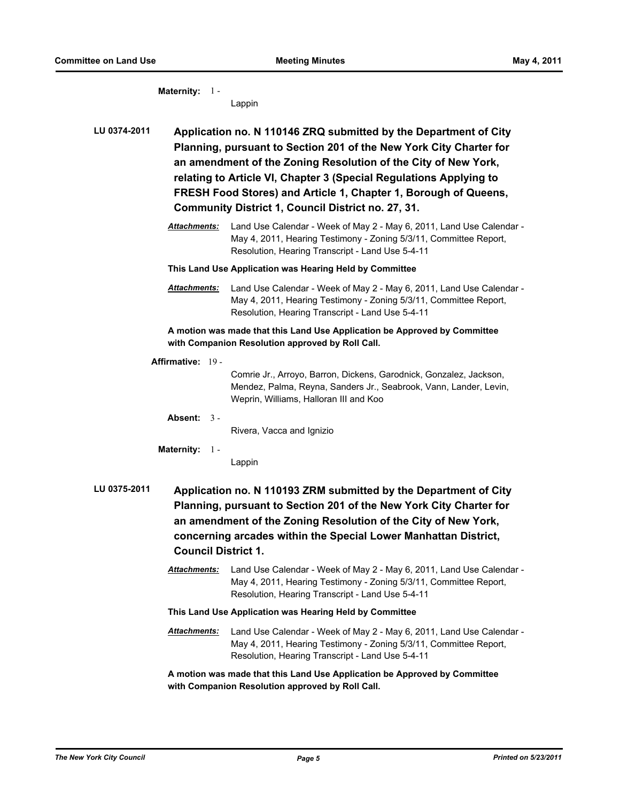**Maternity:** 1 - Lappin **LU 0374-2011 Application no. N 110146 ZRQ submitted by the Department of City Planning, pursuant to Section 201 of the New York City Charter for an amendment of the Zoning Resolution of the City of New York, relating to Article VI, Chapter 3 (Special Regulations Applying to FRESH Food Stores) and Article 1, Chapter 1, Borough of Queens, Community District 1, Council District no. 27, 31.** *Attachments:* Land Use Calendar - Week of May 2 - May 6, 2011, Land Use Calendar - May 4, 2011, Hearing Testimony - Zoning 5/3/11, Committee Report, Resolution, Hearing Transcript - Land Use 5-4-11 **This Land Use Application was Hearing Held by Committee** *Attachments:* Land Use Calendar - Week of May 2 - May 6, 2011, Land Use Calendar - May 4, 2011, Hearing Testimony - Zoning 5/3/11, Committee Report, Resolution, Hearing Transcript - Land Use 5-4-11 **A motion was made that this Land Use Application be Approved by Committee with Companion Resolution approved by Roll Call. Affirmative:** 19 - Comrie Jr., Arroyo, Barron, Dickens, Garodnick, Gonzalez, Jackson, Mendez, Palma, Reyna, Sanders Jr., Seabrook, Vann, Lander, Levin, Weprin, Williams, Halloran III and Koo **Absent:** 3 - Rivera, Vacca and Ignizio **Maternity:** 1 - Lappin **LU 0375-2011 Application no. N 110193 ZRM submitted by the Department of City Planning, pursuant to Section 201 of the New York City Charter for an amendment of the Zoning Resolution of the City of New York, concerning arcades within the Special Lower Manhattan District, Council District 1.** *Attachments:* Land Use Calendar - Week of May 2 - May 6, 2011, Land Use Calendar - May 4, 2011, Hearing Testimony - Zoning 5/3/11, Committee Report, Resolution, Hearing Transcript - Land Use 5-4-11 **This Land Use Application was Hearing Held by Committee** *Attachments:* Land Use Calendar - Week of May 2 - May 6, 2011, Land Use Calendar - May 4, 2011, Hearing Testimony - Zoning 5/3/11, Committee Report, Resolution, Hearing Transcript - Land Use 5-4-11 **A motion was made that this Land Use Application be Approved by Committee** 

**with Companion Resolution approved by Roll Call.**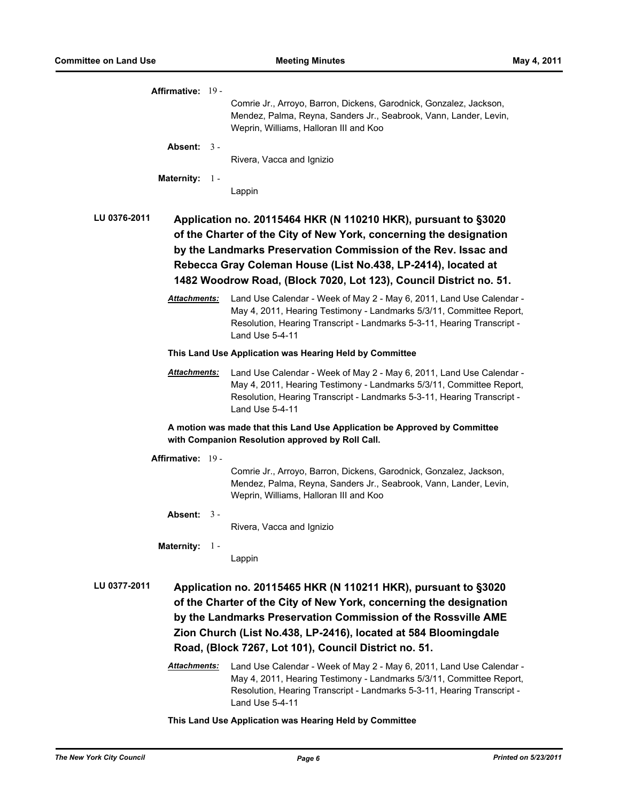| Affirmative: 19 -   |                                                                                                                                                                                                                                                                                                                                               |
|---------------------|-----------------------------------------------------------------------------------------------------------------------------------------------------------------------------------------------------------------------------------------------------------------------------------------------------------------------------------------------|
|                     | Comrie Jr., Arroyo, Barron, Dickens, Garodnick, Gonzalez, Jackson,<br>Mendez, Palma, Reyna, Sanders Jr., Seabrook, Vann, Lander, Levin,<br>Weprin, Williams, Halloran III and Koo                                                                                                                                                             |
| Absent: $3 -$       | Rivera, Vacca and Ignizio                                                                                                                                                                                                                                                                                                                     |
| Maternity: 1 -      |                                                                                                                                                                                                                                                                                                                                               |
|                     | Lappin                                                                                                                                                                                                                                                                                                                                        |
| LU 0376-2011        | Application no. 20115464 HKR (N 110210 HKR), pursuant to §3020<br>of the Charter of the City of New York, concerning the designation<br>by the Landmarks Preservation Commission of the Rev. Issac and<br>Rebecca Gray Coleman House (List No.438, LP-2414), located at<br>1482 Woodrow Road, (Block 7020, Lot 123), Council District no. 51. |
| Attachments:        | Land Use Calendar - Week of May 2 - May 6, 2011, Land Use Calendar -<br>May 4, 2011, Hearing Testimony - Landmarks 5/3/11, Committee Report,<br>Resolution, Hearing Transcript - Landmarks 5-3-11, Hearing Transcript -<br>Land Use 5-4-11                                                                                                    |
|                     | This Land Use Application was Hearing Held by Committee                                                                                                                                                                                                                                                                                       |
| <b>Attachments:</b> | Land Use Calendar - Week of May 2 - May 6, 2011, Land Use Calendar -<br>May 4, 2011, Hearing Testimony - Landmarks 5/3/11, Committee Report,<br>Resolution, Hearing Transcript - Landmarks 5-3-11, Hearing Transcript -<br>Land Use 5-4-11                                                                                                    |
|                     | A motion was made that this Land Use Application be Approved by Committee<br>with Companion Resolution approved by Roll Call.                                                                                                                                                                                                                 |
| Affirmative: 19 -   |                                                                                                                                                                                                                                                                                                                                               |
|                     | Comrie Jr., Arroyo, Barron, Dickens, Garodnick, Gonzalez, Jackson,<br>Mendez, Palma, Reyna, Sanders Jr., Seabrook, Vann, Lander, Levin,<br>Weprin, Williams, Halloran III and Koo                                                                                                                                                             |
| Absent: $3 -$       | Rivera, Vacca and Ignizio                                                                                                                                                                                                                                                                                                                     |
| Maternity: 1 -      |                                                                                                                                                                                                                                                                                                                                               |
|                     | Lappin                                                                                                                                                                                                                                                                                                                                        |
| LU 0377-2011        | Application no. 20115465 HKR (N 110211 HKR), pursuant to §3020<br>of the Charter of the City of New York, concerning the designation<br>by the Landmarks Preservation Commission of the Rossville AME<br>Zion Church (List No.438, LP-2416), located at 584 Bloomingdale<br>Road, (Block 7267, Lot 101), Council District no. 51.             |
| Attachments:        | Land Use Calendar - Week of May 2 - May 6, 2011, Land Use Calendar -<br>May 4, 2011, Hearing Testimony - Landmarks 5/3/11, Committee Report,<br>Resolution, Hearing Transcript - Landmarks 5-3-11, Hearing Transcript -<br>Land Use 5-4-11                                                                                                    |

**This Land Use Application was Hearing Held by Committee**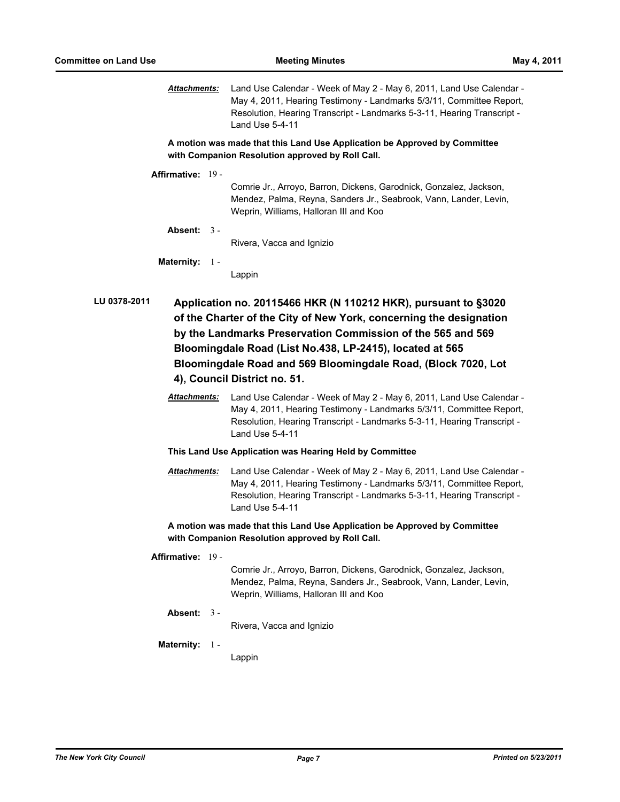*Attachments:* Land Use Calendar - Week of May 2 - May 6, 2011, Land Use Calendar - May 4, 2011, Hearing Testimony - Landmarks 5/3/11, Committee Report, Resolution, Hearing Transcript - Landmarks 5-3-11, Hearing Transcript - Land Use 5-4-11

**A motion was made that this Land Use Application be Approved by Committee with Companion Resolution approved by Roll Call.**

**Affirmative:** 19 -

Comrie Jr., Arroyo, Barron, Dickens, Garodnick, Gonzalez, Jackson, Mendez, Palma, Reyna, Sanders Jr., Seabrook, Vann, Lander, Levin, Weprin, Williams, Halloran III and Koo

**Absent:** 3 -

Rivera, Vacca and Ignizio

**Maternity:** 1 -

Lappin

**LU 0378-2011 Application no. 20115466 HKR (N 110212 HKR), pursuant to §3020 of the Charter of the City of New York, concerning the designation by the Landmarks Preservation Commission of the 565 and 569 Bloomingdale Road (List No.438, LP-2415), located at 565 Bloomingdale Road and 569 Bloomingdale Road, (Block 7020, Lot 4), Council District no. 51.**

> *Attachments:* Land Use Calendar - Week of May 2 - May 6, 2011, Land Use Calendar - May 4, 2011, Hearing Testimony - Landmarks 5/3/11, Committee Report, Resolution, Hearing Transcript - Landmarks 5-3-11, Hearing Transcript - Land Use 5-4-11

**This Land Use Application was Hearing Held by Committee**

*Attachments:* Land Use Calendar - Week of May 2 - May 6, 2011, Land Use Calendar - May 4, 2011, Hearing Testimony - Landmarks 5/3/11, Committee Report, Resolution, Hearing Transcript - Landmarks 5-3-11, Hearing Transcript - Land Use 5-4-11

**A motion was made that this Land Use Application be Approved by Committee with Companion Resolution approved by Roll Call.**

**Affirmative:** 19 -

Comrie Jr., Arroyo, Barron, Dickens, Garodnick, Gonzalez, Jackson, Mendez, Palma, Reyna, Sanders Jr., Seabrook, Vann, Lander, Levin, Weprin, Williams, Halloran III and Koo

**Absent:** 3 -

Rivera, Vacca and Ignizio

**Maternity:** 1 -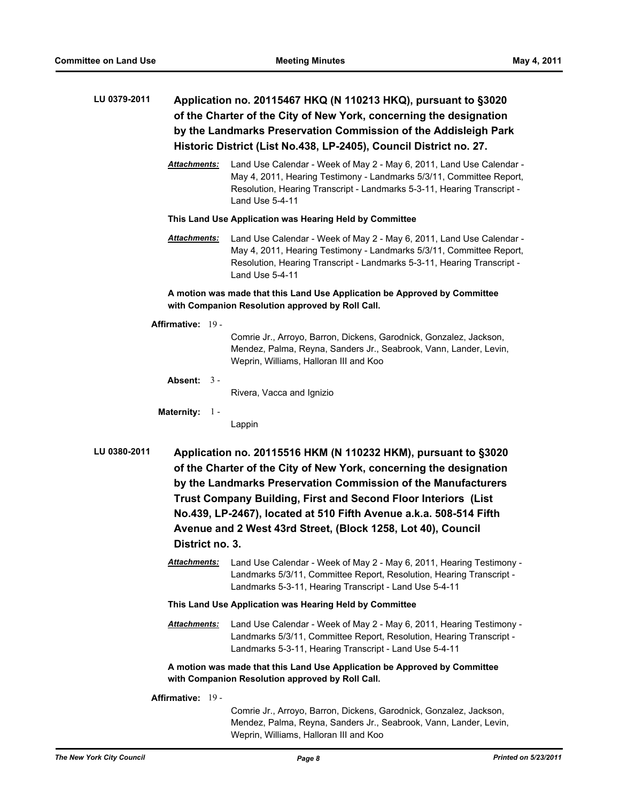# **LU 0379-2011 Application no. 20115467 HKQ (N 110213 HKQ), pursuant to §3020 of the Charter of the City of New York, concerning the designation by the Landmarks Preservation Commission of the Addisleigh Park Historic District (List No.438, LP-2405), Council District no. 27.**

*Attachments:* Land Use Calendar - Week of May 2 - May 6, 2011, Land Use Calendar - May 4, 2011, Hearing Testimony - Landmarks 5/3/11, Committee Report, Resolution, Hearing Transcript - Landmarks 5-3-11, Hearing Transcript - Land Use 5-4-11

**This Land Use Application was Hearing Held by Committee**

*Attachments:* Land Use Calendar - Week of May 2 - May 6, 2011, Land Use Calendar - May 4, 2011, Hearing Testimony - Landmarks 5/3/11, Committee Report, Resolution, Hearing Transcript - Landmarks 5-3-11, Hearing Transcript - Land Use 5-4-11

# **A motion was made that this Land Use Application be Approved by Committee with Companion Resolution approved by Roll Call.**

### **Affirmative:** 19 -

Comrie Jr., Arroyo, Barron, Dickens, Garodnick, Gonzalez, Jackson, Mendez, Palma, Reyna, Sanders Jr., Seabrook, Vann, Lander, Levin, Weprin, Williams, Halloran III and Koo

#### **Absent:** 3 -

Rivera, Vacca and Ignizio

#### **Maternity:** 1 -

Lappin

- **LU 0380-2011 Application no. 20115516 HKM (N 110232 HKM), pursuant to §3020 of the Charter of the City of New York, concerning the designation by the Landmarks Preservation Commission of the Manufacturers Trust Company Building, First and Second Floor Interiors (List No.439, LP-2467), located at 510 Fifth Avenue a.k.a. 508-514 Fifth Avenue and 2 West 43rd Street, (Block 1258, Lot 40), Council District no. 3.**
	- *Attachments:* Land Use Calendar Week of May 2 May 6, 2011, Hearing Testimony Landmarks 5/3/11, Committee Report, Resolution, Hearing Transcript - Landmarks 5-3-11, Hearing Transcript - Land Use 5-4-11
	- **This Land Use Application was Hearing Held by Committee**
	- *Attachments:* Land Use Calendar Week of May 2 May 6, 2011, Hearing Testimony Landmarks 5/3/11, Committee Report, Resolution, Hearing Transcript - Landmarks 5-3-11, Hearing Transcript - Land Use 5-4-11

**A motion was made that this Land Use Application be Approved by Committee with Companion Resolution approved by Roll Call.**

**Affirmative:** 19 -

Comrie Jr., Arroyo, Barron, Dickens, Garodnick, Gonzalez, Jackson, Mendez, Palma, Reyna, Sanders Jr., Seabrook, Vann, Lander, Levin, Weprin, Williams, Halloran III and Koo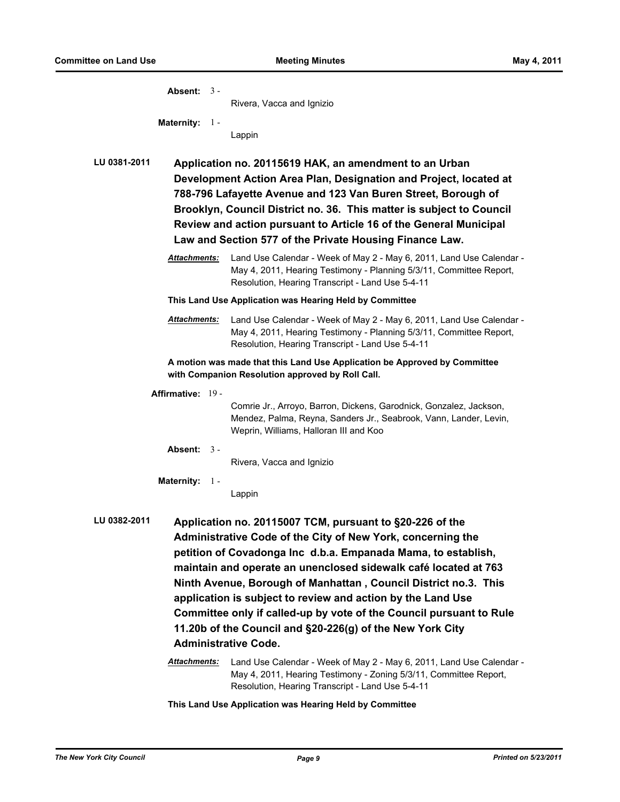| Absent: $3 -$                       | Rivera, Vacca and Ignizio                                                                                                                                                                                                                                                                                                                                                                                                                                                                                                                                                                                                                |
|-------------------------------------|------------------------------------------------------------------------------------------------------------------------------------------------------------------------------------------------------------------------------------------------------------------------------------------------------------------------------------------------------------------------------------------------------------------------------------------------------------------------------------------------------------------------------------------------------------------------------------------------------------------------------------------|
| Maternity: 1 -                      |                                                                                                                                                                                                                                                                                                                                                                                                                                                                                                                                                                                                                                          |
|                                     | Lappin                                                                                                                                                                                                                                                                                                                                                                                                                                                                                                                                                                                                                                   |
|                                     |                                                                                                                                                                                                                                                                                                                                                                                                                                                                                                                                                                                                                                          |
| LU 0381-2011                        | Application no. 20115619 HAK, an amendment to an Urban<br>Development Action Area Plan, Designation and Project, located at<br>788-796 Lafayette Avenue and 123 Van Buren Street, Borough of<br>Brooklyn, Council District no. 36. This matter is subject to Council<br>Review and action pursuant to Article 16 of the General Municipal<br>Law and Section 577 of the Private Housing Finance Law.                                                                                                                                                                                                                                     |
| <b>Attachments:</b>                 | Land Use Calendar - Week of May 2 - May 6, 2011, Land Use Calendar -<br>May 4, 2011, Hearing Testimony - Planning 5/3/11, Committee Report,<br>Resolution, Hearing Transcript - Land Use 5-4-11                                                                                                                                                                                                                                                                                                                                                                                                                                          |
|                                     | This Land Use Application was Hearing Held by Committee                                                                                                                                                                                                                                                                                                                                                                                                                                                                                                                                                                                  |
| Attachments:                        | Land Use Calendar - Week of May 2 - May 6, 2011, Land Use Calendar -<br>May 4, 2011, Hearing Testimony - Planning 5/3/11, Committee Report,<br>Resolution, Hearing Transcript - Land Use 5-4-11                                                                                                                                                                                                                                                                                                                                                                                                                                          |
|                                     | A motion was made that this Land Use Application be Approved by Committee<br>with Companion Resolution approved by Roll Call.                                                                                                                                                                                                                                                                                                                                                                                                                                                                                                            |
| Affirmative: 19 -                   |                                                                                                                                                                                                                                                                                                                                                                                                                                                                                                                                                                                                                                          |
|                                     | Comrie Jr., Arroyo, Barron, Dickens, Garodnick, Gonzalez, Jackson,<br>Mendez, Palma, Reyna, Sanders Jr., Seabrook, Vann, Lander, Levin,<br>Weprin, Williams, Halloran III and Koo                                                                                                                                                                                                                                                                                                                                                                                                                                                        |
| Absent: $3 -$                       |                                                                                                                                                                                                                                                                                                                                                                                                                                                                                                                                                                                                                                          |
|                                     | Rivera, Vacca and Ignizio                                                                                                                                                                                                                                                                                                                                                                                                                                                                                                                                                                                                                |
| <b>Maternity: 1-</b>                | Lappin                                                                                                                                                                                                                                                                                                                                                                                                                                                                                                                                                                                                                                   |
| LU 0382-2011<br><b>Attachments:</b> | Application no. 20115007 TCM, pursuant to §20-226 of the<br>Administrative Code of the City of New York, concerning the<br>petition of Covadonga Inc d.b.a. Empanada Mama, to establish,<br>maintain and operate an unenclosed sidewalk café located at 763<br>Ninth Avenue, Borough of Manhattan, Council District no.3. This<br>application is subject to review and action by the Land Use<br>Committee only if called-up by vote of the Council pursuant to Rule<br>11.20b of the Council and §20-226(g) of the New York City<br><b>Administrative Code.</b><br>Land Use Calendar - Week of May 2 - May 6, 2011, Land Use Calendar - |
|                                     | May 4, 2011, Hearing Testimony - Zoning 5/3/11, Committee Report,<br>Resolution, Hearing Transcript - Land Use 5-4-11                                                                                                                                                                                                                                                                                                                                                                                                                                                                                                                    |

**This Land Use Application was Hearing Held by Committee**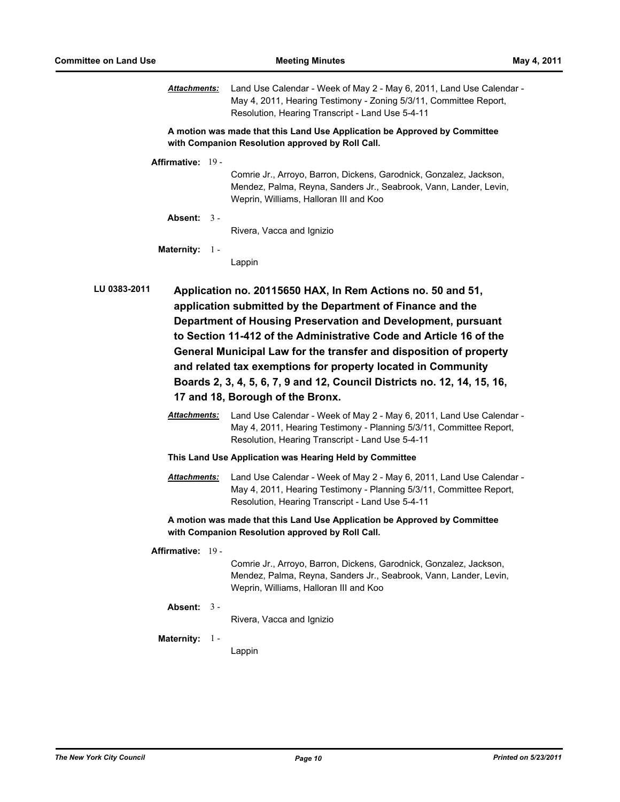*Attachments:* Land Use Calendar - Week of May 2 - May 6, 2011, Land Use Calendar - May 4, 2011, Hearing Testimony - Zoning 5/3/11, Committee Report, Resolution, Hearing Transcript - Land Use 5-4-11

**A motion was made that this Land Use Application be Approved by Committee with Companion Resolution approved by Roll Call.**

**Affirmative:** 19 -

Comrie Jr., Arroyo, Barron, Dickens, Garodnick, Gonzalez, Jackson, Mendez, Palma, Reyna, Sanders Jr., Seabrook, Vann, Lander, Levin, Weprin, Williams, Halloran III and Koo

**Absent:** 3 -

Rivera, Vacca and Ignizio

**Maternity:** 1 -

Lappin

**LU 0383-2011 Application no. 20115650 HAX, In Rem Actions no. 50 and 51, application submitted by the Department of Finance and the Department of Housing Preservation and Development, pursuant to Section 11-412 of the Administrative Code and Article 16 of the General Municipal Law for the transfer and disposition of property and related tax exemptions for property located in Community Boards 2, 3, 4, 5, 6, 7, 9 and 12, Council Districts no. 12, 14, 15, 16, 17 and 18, Borough of the Bronx.**

> *Attachments:* Land Use Calendar - Week of May 2 - May 6, 2011, Land Use Calendar - May 4, 2011, Hearing Testimony - Planning 5/3/11, Committee Report, Resolution, Hearing Transcript - Land Use 5-4-11

**This Land Use Application was Hearing Held by Committee**

*Attachments:* Land Use Calendar - Week of May 2 - May 6, 2011, Land Use Calendar - May 4, 2011, Hearing Testimony - Planning 5/3/11, Committee Report, Resolution, Hearing Transcript - Land Use 5-4-11

**A motion was made that this Land Use Application be Approved by Committee with Companion Resolution approved by Roll Call.**

**Affirmative:** 19 -

Comrie Jr., Arroyo, Barron, Dickens, Garodnick, Gonzalez, Jackson, Mendez, Palma, Reyna, Sanders Jr., Seabrook, Vann, Lander, Levin, Weprin, Williams, Halloran III and Koo

**Absent:** 3 -

Rivera, Vacca and Ignizio

**Maternity:** 1 -